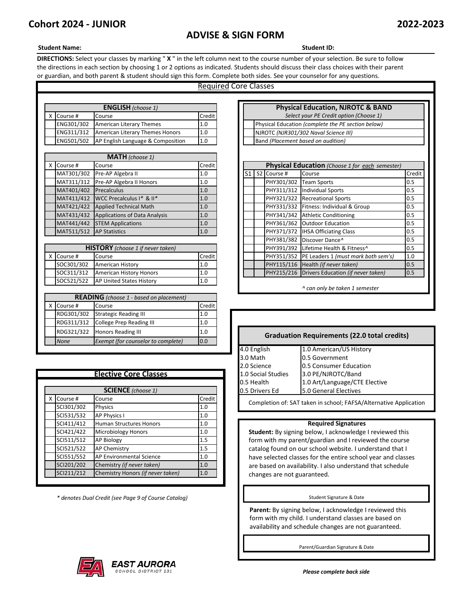# **ADVISE & SIGN FORM**

## **Student Name: Student ID:**

**DIRECTIONS:** Select your classes by marking " **X** " in the left column next to the course number of your selection. Be sure to follow the directions in each section by choosing 1 or 2 options as indicated. Students should discuss their class choices with their parent or guardian, and both parent & student should sign this form. Complete both sides. See your counselor for any questions.

# Required Core Classes

| <b>ENGLISH</b> (choose 1) |                              |                                                     |     |  |                                         | <b>Physical Education, NJROTC &amp; BA</b>         |
|---------------------------|------------------------------|-----------------------------------------------------|-----|--|-----------------------------------------|----------------------------------------------------|
|                           | Credit<br>Course #<br>Course |                                                     |     |  | Select your PE Credit option (Choose 1) |                                                    |
|                           | ENG301/302                   | American Literary Themes                            | 1.0 |  |                                         | Physical Education (complete the PE section below) |
|                           | ENG311/312                   | American Literary Themes Honors                     | 1.0 |  |                                         | NJROTC (NJR301/302 Naval Science III)              |
|                           |                              | <b>ENG501/502</b> AP English Language & Composition | 1.0 |  |                                         | Band (Placement based on audition)                 |

|            | <b>MATH</b> (choose 1)                 |                                      |        |  |  |  |  |  |
|------------|----------------------------------------|--------------------------------------|--------|--|--|--|--|--|
|            | Course #                               | Course                               | Credit |  |  |  |  |  |
| MAT301/302 |                                        | Pre-AP Algebra II                    | 1.0    |  |  |  |  |  |
|            | MAT311/312                             | Pre-AP Algebra II Honors             | 1.0    |  |  |  |  |  |
|            | MAT401/402                             | Precalculus                          | 1.0    |  |  |  |  |  |
|            | MAT411/412                             | WCC Precalculus I* & II*             | 1.0    |  |  |  |  |  |
| MAT421/422 |                                        | <b>Applied Technical Math</b>        | 1.0    |  |  |  |  |  |
|            | MAT431/432                             | <b>Applications of Data Analysis</b> | 1.0    |  |  |  |  |  |
|            | MAT441/442<br><b>STEM Applications</b> |                                      | 1.0    |  |  |  |  |  |
|            | MAT511/512                             | <b>AP Statistics</b>                 | 1.0    |  |  |  |  |  |

| <b>HISTORY</b> (choose 1 if never taken) |                                 |                |  |  |  |  |  |
|------------------------------------------|---------------------------------|----------------|--|--|--|--|--|
| Course #                                 | Course                          | Credit         |  |  |  |  |  |
| SOC301/302                               | <b>American History</b>         | 1 <sub>0</sub> |  |  |  |  |  |
| SOC311/312                               | <b>American History Honors</b>  | 1 <sub>c</sub> |  |  |  |  |  |
| SOC521/522                               | <b>AP United States History</b> | 1.0            |  |  |  |  |  |

| <b>READING</b> (choose 1 - based on placement) |                                           |        |  |  |  |  |
|------------------------------------------------|-------------------------------------------|--------|--|--|--|--|
| Course #                                       | Course                                    | Credit |  |  |  |  |
| RDG301/302                                     | <b>Strategic Reading III</b>              | 1.0    |  |  |  |  |
| RDG311/312                                     | College Prep Reading III                  | 1.0    |  |  |  |  |
| RDG321/322                                     | <b>Honors Reading III</b>                 | 1.0    |  |  |  |  |
| <b>None</b>                                    | Exempt (for counselor to complete)<br>0.0 |        |  |  |  |  |

| <b>Elective Core Classes</b> |            |                                   |        |  |  |  |
|------------------------------|------------|-----------------------------------|--------|--|--|--|
|                              |            | <b>SCIENCE</b> (choose 1)         |        |  |  |  |
| x                            | Course #   | Course                            | Credit |  |  |  |
|                              | SCI301/302 | Physics                           | 1.0    |  |  |  |
|                              | SCI531/532 | <b>AP Physics I</b>               | 1.0    |  |  |  |
|                              | SCI411/412 | <b>Human Structures Honors</b>    | 1.0    |  |  |  |
|                              | SCI421/422 | <b>Microbiology Honors</b>        | 1.0    |  |  |  |
|                              | SCI511/512 | <b>AP Biology</b>                 | 1.5    |  |  |  |
|                              | SCI521/522 | <b>AP Chemistry</b>               | 1.5    |  |  |  |
|                              | SCI551/552 | AP Environmental Science          | 1.0    |  |  |  |
|                              | SCI201/202 | Chemistry (if never taken)        | 1.0    |  |  |  |
|                              | SCI211/212 | Chemistry Honors (if never taken) | 1.0    |  |  |  |

*\* denotes Dual Credit (see Page 9 of Course Catalog)*

| <b>Physical Education, NJROTC &amp; BAND</b>       |  |  |  |  |  |  |  |
|----------------------------------------------------|--|--|--|--|--|--|--|
| Select your PE Credit option (Choose 1)            |  |  |  |  |  |  |  |
| Physical Education (complete the PE section below) |  |  |  |  |  |  |  |
| NJROTC (NJR301/302 Naval Science III)              |  |  |  |  |  |  |  |
| Band (Placement based on audition)                 |  |  |  |  |  |  |  |

|            | <b>IVIMIII</b> (CHOUSE 1)                |        |      |             |                                                 |        |
|------------|------------------------------------------|--------|------|-------------|-------------------------------------------------|--------|
| Course #   | Course                                   | Credit |      |             | Physical Education (Choose 1 for each semester) |        |
| MAT301/302 | Pre-AP Algebra II                        | 1.0    | S1 I | S2 Course # | Course                                          | Credit |
| MAT311/312 | Pre-AP Algebra II Honors                 | 1.0    |      | PHY301/302  | <b>Team Sports</b>                              | 0.5    |
| MAT401/402 | Precalculus                              | 1.0    |      | PHY311/312  | <b>Individual Sports</b>                        | 0.5    |
| MAT411/412 | WCC Precalculus I* & II*                 | 1.0    |      | PHY321/322  | <b>Recreational Sports</b>                      | 0.5    |
| MAT421/422 | <b>Applied Technical Math</b>            | 1.0    |      |             | PHY331/332 Fitness: Individual & Group          | 0.5    |
| MAT431/432 | <b>Applications of Data Analysis</b>     | 1.0    |      | PHY341/342  | <b>Athletic Conditioning</b>                    | 0.5    |
| MAT441/442 | <b>STEM Applications</b>                 | 1.0    |      | PHY361/362  | <b>Outdoor Education</b>                        | 0.5    |
| MAT511/512 | <b>AP Statistics</b>                     | 1.0    |      | PHY371/372  | <b>IHSA Officiating Class</b>                   | 0.5    |
|            |                                          |        |      | PHY381/382  | Discover Dance <sup>^</sup>                     | 0.5    |
|            | <b>HISTORY</b> (choose 1 if never taken) |        |      | PHY391/392  | Lifetime Health & Fitness <sup>^</sup>          | 0.5    |
| Course #   | Course                                   | Credit |      | PHY351/352  | PE Leaders 1 (must mark both sem's)             | 1.0    |
| SOC301/302 | <b>American History</b>                  | 1.0    |      |             | PHY115/116 Health (if never taken)              | 0.5    |
| SOC311/312 | <b>American History Honors</b>           | 1.0    |      |             | PHY215/216 Drivers Education (if never taken)   | 0.5    |
| SOC521/522 | <b>AP United States History</b>          | 1.0    |      |             |                                                 |        |
|            |                                          |        |      |             | A can only be taken 1 semester                  |        |

# **Graduation Requirements (22.0 total credits)**

| 4.0 English        | 1.0 American/US History       |
|--------------------|-------------------------------|
| 3.0 Math           | 0.5 Government                |
| 2.0 Science        | 0.5 Consumer Education        |
| 1.0 Social Studies | 3.0 PE/NJROTC/Band            |
| 0.5 Health         | 1.0 Art/Language/CTE Elective |
| 0.5 Drivers Ed     | 5.0 General Electives         |
|                    |                               |

Completion of: SAT taken in school; FAFSA/Alternative Application

### **Required Signatures**

**Student:** By signing below, I acknowledge I reviewed this form with my parent/guardian and I reviewed the course catalog found on our school website. I understand that I have selected classes for the entire school year and classes are based on availability. I also understand that schedule changes are not guaranteed.

### Student Signature & Date

Parent: By signing below, I acknowledge I reviewed this form with my child. I understand classes are based on availability and schedule changes are not guaranteed.

Parent/Guardian Signature & Date



*Please complete back side*